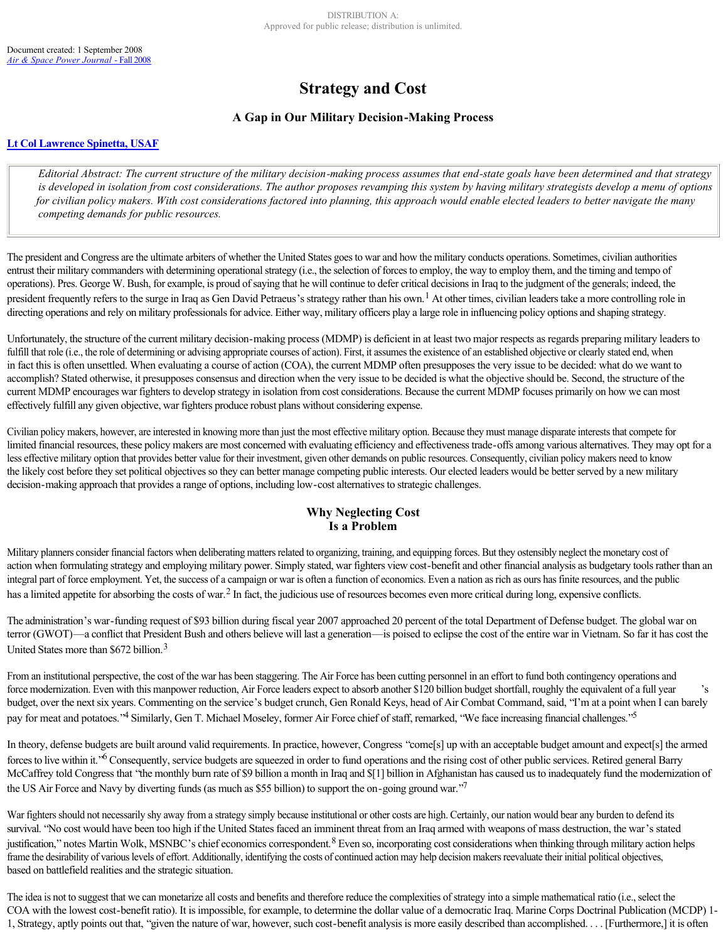# **Strategy and Cost**

## **A Gap in Our Military Decision-Making Process**

#### **[Lt Col Lawrence Spinetta, USAF](http://www.airpower.maxwell.af.mil/airchronicles/apj/apj08/fal08/spinetta.html#spinetta)**

Editorial Abstract: The current structure of the military decision-making process assumes that end-state goals have been determined and that strategy *is developed in isolation from cost considerations. The author proposes revamping this system by having military strategists develop a menu of options for civilian policy makers. With cost considerations factored into planning, this approach would enable elected leaders to better navigate the many competing demands for public resources.*

The president and Congress are the ultimate arbiters of whether the United States goes to war and how the military conducts operations. Sometimes, civilian authorities entrust their military commanders with determining operational strategy (i.e., the selection of forces to employ, the way to employ them, and the timing and tempo of operations). Pres. George W. Bush, for example, is proud of saying that he will continue to defer critical decisions in Iraq to the judgment of the generals; indeed, the president frequently refers to the surge in Iraq as Gen David Petraeus's strategy rather than his own.<sup>1</sup> At other times, civilian leaders take a more controlling role in directing operations and rely on military professionals for advice. Either way, military officers play a large role in influencing policy options and shaping strategy.

Unfortunately, the structure of the current military decision-making process (MDMP) is deficient in at least two major respects as regards preparing military leaders to fulfill that role (i.e., the role of determining or advising appropriate courses of action). First, it assumes the existence of an established objective or clearly stated end, when in fact this is often unsettled. When evaluating a course of action (COA), the current MDMP often presupposes the very issue to be decided: what do we want to accomplish? Stated otherwise, it presupposes consensus and direction when the very issue to be decided is what the objective should be. Second, the structure of the current MDMP encourages war fighters to develop strategy in isolation from cost considerations. Because the current MDMP focuses primarily on how we can most effectively fulfill any given objective, war fighters produce robust plans without considering expense.

Civilian policy makers, however, are interested in knowing more than just the most effective military option. Because they must manage disparate interests that compete for limited financial resources, these policy makers are most concerned with evaluating efficiency and effectiveness trade-offs among various alternatives. They may opt for a less effective military option that provides better value for their investment, given other demands on public resources. Consequently, civilian policy makers need to know the likely cost before they set political objectives so they can better manage competing public interests. Our elected leaders would be better served by a new military decision-making approach that provides a range of options, including low-cost alternatives to strategic challenges.

## **Why Neglecting Cost Is a Problem**

Military planners consider financial factors when deliberating matters related to organizing, training, and equipping forces. But they ostensibly neglect the monetary cost of action when formulating strategy and employing military power. Simply stated, war fighters view cost-benefit and other financial analysis as budgetary tools rather than an integral part of force employment. Yet, the success of a campaign or war is often a function of economics. Even a nation as rich as ours has finite resources, and the public has a limited appetite for absorbing the costs of war.<sup>2</sup> In fact, the judicious use of resources becomes even more critical during long, expensive conflicts.

The administration's war-funding request of \$93 billion during fiscal year 2007 approached 20 percent of the total Department of Defense budget. The global war on terror (GWOT)—a conflict that President Bush and others believe will last a generation—is poised to eclipse the cost of the entire war in Vietnam. So far it has cost the United States more than \$672 billion.<sup>3</sup>

From an institutional perspective, the cost of the war has been staggering. The Air Force has been cutting personnel in an effort to fund both contingency operations and force modernization. Even with this manpower reduction, Air Force leaders expect to absorb another \$120 billion budget shortfall, roughly the equivalent of a full year 's budget, over the next six years. Commenting on the service's budget crunch, Gen Ronald Keys, head of Air Combat Command, said, "I'm at a point when I can barely pay for meat and potatoes."<sup>4</sup> Similarly, Gen T. Michael Moseley, former Air Force chief of staff, remarked, "We face increasing financial challenges."<sup>5</sup>

In theory, defense budgets are built around valid requirements. In practice, however, Congress "come[s] up with an acceptable budget amount and expect[s] the armed forces to live within it.<sup>26</sup> Consequently, service budgets are squeezed in order to fund operations and the rising cost of other public services. Retired general Barry McCaffrey told Congress that "the monthly burn rate of \$9 billion a month in Iraq and \$[1] billion in Afghanistan has caused us to inadequately fund the modernization of the US Air Force and Navy by diverting funds (as much as \$55 billion) to support the on-going ground war."<sup>7</sup>

War fighters should not necessarily shy away from a strategy simply because institutional or other costs are high. Certainly, our nation would bear any burden to defend its survival. "No cost would have been too high if the United States faced an imminent threat from an Iraq armed with weapons of mass destruction, the war's stated justification," notes Martin Wolk, MSNBC's chief economics correspondent. <sup>8</sup> Even so, incorporating cost considerations when thinking through military action helps frame the desirability of various levels of effort. Additionally, identifying the costs of continued action may help decision makers reevaluate their initial political objectives, based on battlefield realities and the strategic situation.

The idea is not to suggest that we can monetarize all costs and benefits and therefore reduce the complexities of strategy into a simple mathematical ratio (i.e., select the COA with the lowest cost-benefit ratio). It is impossible, for example, to determine the dollar value of a democratic Iraq. Marine Corps Doctrinal Publication (MCDP) 1-1, Strategy, aptly points out that, "given the nature of war, however, such cost-benefit analysis is more easily described than accomplished. . . [Furthermore,] it is often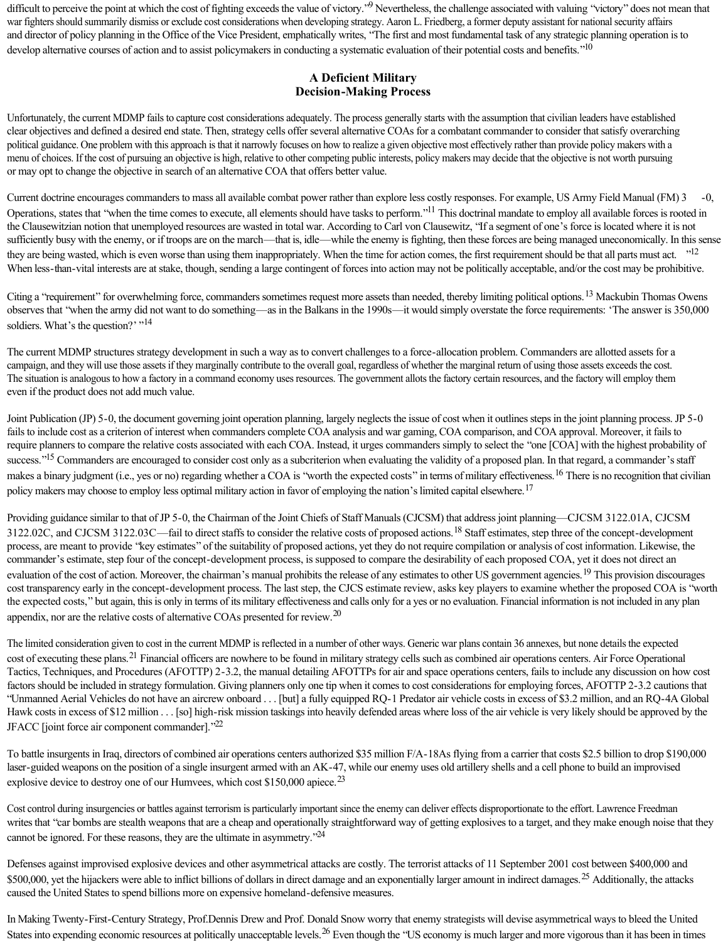difficult to perceive the point at which the cost of fighting exceeds the value of victory."<sup>9</sup> Nevertheless, the challenge associated with valuing "victory" does not mean that war fighters should summarily dismiss or exclude cost considerations when developing strategy. Aaron L. Friedberg, a former deputy assistant for national security affairs and director of policy planning in the Office of the Vice President, emphatically writes, "The first and most fundamental task of any strategic planning operation is to develop alternative courses of action and to assist policymakers in conducting a systematic evaluation of their potential costs and benefits."<sup>10</sup>

## **A Deficient Military Decision-Making Process**

Unfortunately, the current MDMP fails to capture cost considerations adequately. The process generally starts with the assumption that civilian leaders have established clear objectives and defined a desired end state. Then, strategy cells offer several alternative COAs for a combatant commander to consider that satisfy overarching political guidance. One problem with this approach is that it narrowly focuses on how to realize a given objective most effectively rather than provide policy makers with a menu of choices. If the cost of pursuing an objective is high, relative to other competing public interests, policy makers may decide that the objective is not worth pursuing or may opt to change the objective in search of an alternative COA that offers better value.

Current doctrine encourages commanders to mass all available combat power rather than explore less costly responses. For example, US Army Field Manual (FM) 3 Operations, states that "when the time comes to execute, all elements should have tasks to perform."<sup>11</sup> This doctrinal mandate to employ all available forces is rooted in the Clausewitzian notion that unemployed resources are wasted in total war. According to Carl von Clausewitz, "If a segment of one's force is located where it is not sufficiently busy with the enemy, or if troops are on the march—that is, idle—while the enemy is fighting, then these forces are being managed uneconomically. In this sense they are being wasted, which is even worse than using them inappropriately. When the time for action comes, the first requirement should be that all parts must act. "<sup>12</sup> When less-than-vital interests are at stake, though, sending a large contingent of forces into action may not be politically acceptable, and/or the cost may be prohibitive.

Citing a "requirement" for overwhelming force, commanders sometimes request more assets than needed, thereby limiting political options.<sup>13</sup> Mackubin Thomas Owens observes that "when the army did not want to do something—as in the Balkans in the 1990s—it would simply overstate the force requirements: 'The answer is 350,000 soldiers. What's the question?' "<sup>14</sup>

The current MDMP structures strategy development in such a way as to convert challenges to a force-allocation problem. Commanders are allotted assets for a campaign, and they will use those assets if they marginally contribute to the overall goal, regardless of whether the marginal return of using those assets exceeds the cost. The situation is analogous to how a factory in a command economy uses resources. The government allots the factory certain resources, and the factory will employ them even if the product does not add much value.

Joint Publication (JP) 5-0, the document governing joint operation planning, largely neglects the issue of cost when it outlines steps in the joint planning process. JP 5-0 fails to include cost as a criterion of interest when commanders complete COA analysis and war gaming, COA comparison, and COA approval. Moreover, it fails to require planners to compare the relative costs associated with each COA. Instead, it urges commanders simply to select the "one [COA] with the highest probability of success."<sup>15</sup> Commanders are encouraged to consider cost only as a subcriterion when evaluating the validity of a proposed plan. In that regard, a commander's staff makes a binary judgment (i.e., yes or no) regarding whether a COA is "worth the expected costs" in terms of military effectiveness.<sup>16</sup> There is no recognition that civilian policy makers may choose to employ less optimal military action in favor of employing the nation's limited capital elsewhere.<sup>17</sup>

Providing guidance similar to that of JP 5-0, the Chairman of the Joint Chiefs of Staff Manuals (CJCSM) that address joint planning—CJCSM 3122.01A, CJCSM 3122.02C, and CJCSM 3122.03C—fail to direct staffs to consider the relative costs of proposed actions.<sup>18</sup> Staff estimates, step three of the concept-development process, are meant to provide "key estimates" of the suitability of proposed actions, yet they do not require compilation or analysis of cost information. Likewise, the commander's estimate, step four of the concept-development process, is supposed to compare the desirability of each proposed COA, yet it does not direct an evaluation of the cost of action. Moreover, the chairman's manual prohibits the release of any estimates to other US government agencies.<sup>19</sup> This provision discourages cost transparency early in the concept-development process. The last step, the CJCS estimate review, asks key players to examine whether the proposed COA is "worth the expected costs," but again, this is only in terms of its military effectiveness and calls only for a yes or no evaluation. Financial information is not included in any plan appendix, nor are the relative costs of alternative COAs presented for review.<sup>20</sup>

The limited consideration given to cost in the current MDMP is reflected in a number of other ways. Generic war plans contain 36 annexes, but none details the expected cost of executing these plans.<sup>21</sup> Financial officers are nowhere to be found in military strategy cells such as combined air operations centers. Air Force Operational Tactics, Techniques, and Procedures (AFOTTP) 23.2, the manual detailing AFOTTPs for air and space operations centers, fails to include any discussion on how cost factors should be included in strategy formulation. Giving planners only one tip when it comes to cost considerations for employing forces, AFOTTP 23.2 cautions that "Unmanned Aerial Vehicles do not have an aircrew onboard . . . [but] a fully equipped RQ1 Predator air vehicle costs in excess of \$3.2 million, and an RQ4A Global Hawk costs in excess of \$12 million . . . [so] high-risk mission taskings into heavily defended areas where loss of the air vehicle is very likely should be approved by the JFACC [joint force air component commander]."<sup>22</sup>

To battle insurgents in Iraq, directors of combined air operations centers authorized \$35 million F/A-18As flying from a carrier that costs \$2.5 billion to drop \$190,000 laser-guided weapons on the position of a single insurgent armed with an AK-47, while our enemy uses old artillery shells and a cell phone to build an improvised explosive device to destroy one of our Humvees, which cost  $$150,000$  apiece.<sup>23</sup>

Cost control during insurgencies or battles against terrorism is particularly important since the enemy can deliver effects disproportionate to the effort. Lawrence Freedman writes that "car bombs are stealth weapons that are a cheap and operationally straightforward way of getting explosives to a target, and they make enough noise that they cannot be ignored. For these reasons, they are the ultimate in asymmetry."<sup>24</sup>

Defenses against improvised explosive devices and other asymmetrical attacks are costly. The terrorist attacks of 11 September 2001 cost between \$400,000 and \$500,000, yet the hijackers were able to inflict billions of dollars in direct damage and an exponentially larger amount in indirect damages.<sup>25</sup> Additionally, the attacks caused the United States to spend billions more on expensive homeland-defensive measures.

In Making Twenty-First-Century Strategy, Prof.Dennis Drew and Prof. Donald Snow worry that enemy strategists will devise asymmetrical ways to bleed the United States into expending economic resources at politically unacceptable levels.<sup>26</sup> Even though the "US economy is much larger and more vigorous than it has been in times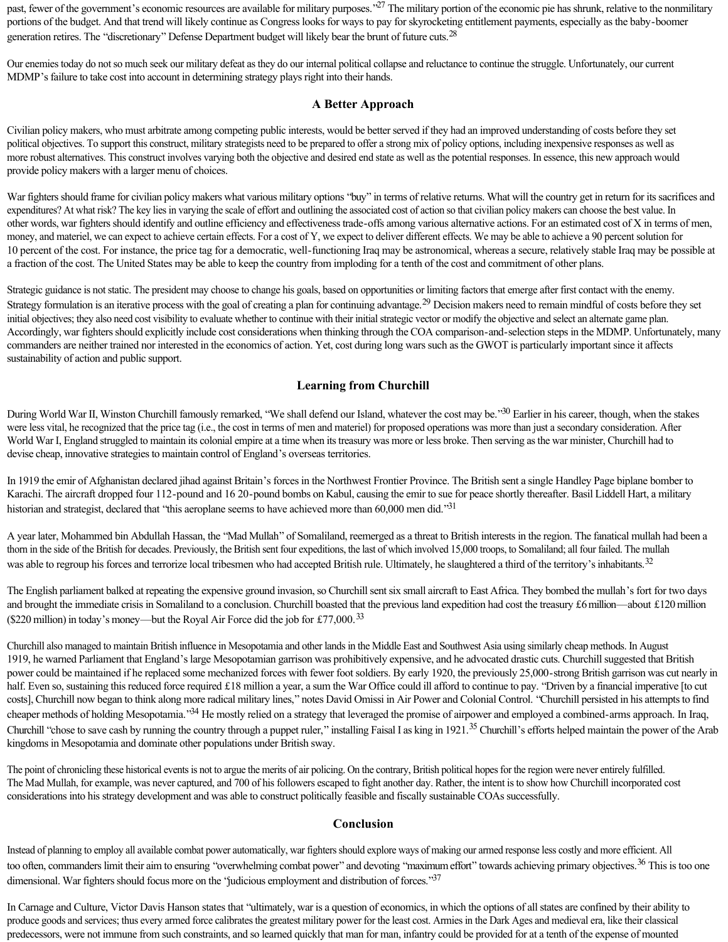past, fewer of the government's economic resources are available for military purposes."<sup>27</sup> The military portion of the economic pie has shrunk, relative to the nonmilitary portions of the budget. And that trend will likely continue as Congress looks for ways to pay for skyrocketing entitlement payments, especially as the baby-boomer generation retires. The "discretionary" Defense Department budget will likely bear the brunt of future cuts.<sup>28</sup>

Our enemies today do not so much seek our military defeat as they do our internal political collapse and reluctance to continue the struggle. Unfortunately, our current MDMP's failure to take cost into account in determining strategy plays right into their hands.

## **A Better Approach**

Civilian policy makers, who must arbitrate among competing public interests, would be better served if they had an improved understanding of costs before they set political objectives. To support this construct, military strategists need to be prepared to offer a strong mix of policy options, including inexpensive responses as well as more robust alternatives. This construct involves varying both the objective and desired end state as well as the potential responses. In essence, this new approach would provide policy makers with a larger menu of choices.

War fighters should frame for civilian policy makers what various military options "buy" in terms of relative returns. What will the country get in return for its sacrifices and expenditures? At what risk? The key lies in varying the scale of effort and outlining the associated cost of action so that civilian policy makers can choose the best value. In other words, war fighters should identify and outline efficiency and effectiveness trade-offs among various alternative actions. For an estimated cost of X in terms of men, money, and materiel, we can expect to achieve certain effects. For a cost of Y, we expect to deliver different effects. We may be able to achieve a 90 percent solution for 10 percent of the cost. For instance, the price tag for a democratic, well-functioning Iraq may be astronomical, whereas a secure, relatively stable Iraq may be possible at a fraction of the cost. The United States may be able to keep the country from imploding for a tenth of the cost and commitment of other plans.

Strategic guidance is not static. The president may choose to change his goals, based on opportunities or limiting factors that emerge after first contact with the enemy. Strategy formulation is an iterative process with the goal of creating a plan for continuing advantage.<sup>29</sup> Decision makers need to remain mindful of costs before they set initial objectives; they also need cost visibility to evaluate whether to continue with their initial strategic vector or modify the objective and select an alternate game plan. Accordingly, war fighters should explicitly include cost considerations when thinking through the COA comparison-and-selection steps in the MDMP. Unfortunately, many commanders are neither trained nor interested in the economics of action. Yet, cost during long wars such as the GWOT is particularly important since it affects sustainability of action and public support.

## **Learning from Churchill**

During World War II, Winston Churchill famously remarked, "We shall defend our Island, whatever the cost may be."<sup>30</sup> Earlier in his career, though, when the stakes were less vital, he recognized that the price tag (i.e., the cost in terms of men and materiel) for proposed operations was more than just a secondary consideration. After World War I, England struggled to maintain its colonial empire at a time when its treasury was more or less broke. Then serving as the war minister, Churchill had to devise cheap, innovative strategies to maintain control of England's overseas territories.

In 1919 the emir of Afghanistan declared jihad against Britain's forces in the Northwest Frontier Province. The British sent a single Handley Page biplane bomber to Karachi. The aircraft dropped four 112-pound and 16 20-pound bombs on Kabul, causing the emir to sue for peace shortly thereafter. Basil Liddell Hart, a military historian and strategist, declared that "this aeroplane seems to have achieved more than 60,000 men did."<sup>31</sup>

A year later, Mohammed bin Abdullah Hassan, the "Mad Mullah" of Somaliland, reemerged as a threat to British interests in the region. The fanatical mullah had been a thorn in the side of the British for decades. Previously, the British sent four expeditions, the last of which involved 15,000 troops, to Somaliland; all four failed. The mullah was able to regroup his forces and terrorize local tribesmen who had accepted British rule. Ultimately, he slaughtered a third of the territory's inhabitants.<sup>32</sup>

The English parliament balked at repeating the expensive ground invasion, so Churchill sent six small aircraft to East Africa. They bombed the mullah's fort for two days and brought the immediate crisis in Somaliland to a conclusion. Churchill boasted that the previous land expedition had cost the treasury £6 million—about £120 million (\$220 million) in today's money—but the Royal Air Force did the job for £77,000.<sup>33</sup>

Churchill also managed to maintain British influence in Mesopotamia and other lands in the Middle East and Southwest Asia using similarly cheap methods. In August 1919, he warned Parliament that England's large Mesopotamian garrison was prohibitively expensive, and he advocated drastic cuts. Churchill suggested that British power could be maintained if he replaced some mechanized forces with fewer foot soldiers. By early 1920, the previously 25,000-strong British garrison was cut nearly in half. Even so, sustaining this reduced force required £18 million a year, a sum the War Office could ill afford to continue to pay. "Driven by a financial imperative [to cut costs], Churchill now began to think along more radical military lines," notes David Omissi in Air Power and Colonial Control. "Churchill persisted in his attempts to find cheaper methods of holding Mesopotamia."<sup>34</sup> He mostly relied on a strategy that leveraged the promise of airpower and employed a combined-arms approach. In Iraq, Churchill "chose to save cash by running the country through a puppet ruler," installing Faisal I as king in 1921.<sup>35</sup> Churchill's efforts helped maintain the power of the Arab kingdoms in Mesopotamia and dominate other populations under British sway.

The point of chronicling these historical events is not to argue the merits of air policing. On the contrary, British political hopes for the region were never entirely fulfilled. The Mad Mullah, for example, was never captured, and 700 of his followers escaped to fight another day. Rather, the intent is to show how Churchill incorporated cost considerations into his strategy development and was able to construct politically feasible and fiscally sustainable COAs successfully.

## **Conclusion**

Instead of planning to employ all available combat power automatically, war fighters should explore ways of making our armed response less costly and more efficient. All too often, commanders limit their aim to ensuring "overwhelming combat power" and devoting "maximum effort" towards achieving primary objectives.<sup>36</sup> This is too one dimensional. War fighters should focus more on the 'judicious employment and distribution of forces."<sup>37</sup>

In Carnage and Culture, Victor Davis Hanson states that "ultimately, war is a question of economics, in which the options of all states are confined by their ability to produce goods and services; thus every armed force calibrates the greatest military power for the least cost. Armies in the Dark Ages and medieval era, like their classical predecessors, were not immune from such constraints, and so learned quickly that man for man, infantry could be provided for at a tenth of the expense of mounted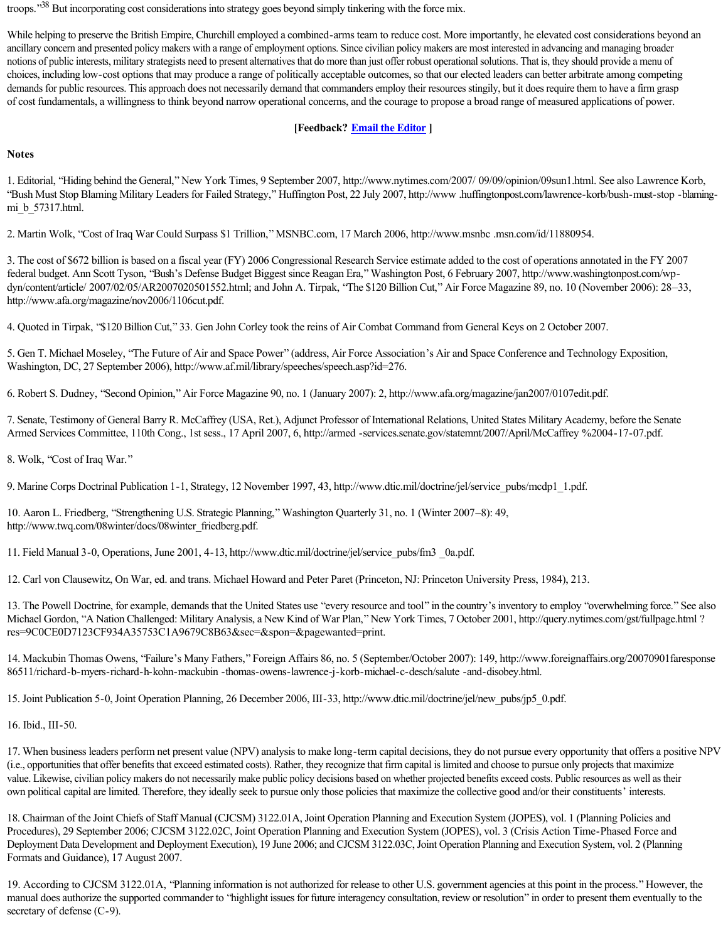troops."<sup>38</sup> But incorporating cost considerations into strategy goes beyond simply tinkering with the force mix.

While helping to preserve the British Empire, Churchill employed a combined-arms team to reduce cost. More importantly, he elevated cost considerations beyond an ancillary concern and presented policy makers with a range of employment options. Since civilian policy makers are most interested in advancing and managing broader notions of public interests, military strategists need to present alternatives that do more than just offer robust operational solutions. That is, they should provide a menu of choices, including low-cost options that may produce a range of politically acceptable outcomes, so that our elected leaders can better arbitrate among competing demands for public resources. This approach does not necessarily demand that commanders employ their resources stingily, but it does require them to have a firm grasp of cost fundamentals, a willingness to think beyond narrow operational concerns, and the courage to propose a broad range of measured applications of power.

## **[Feedback? [Email the Editor](http://www.maxwell.af.mil/mailer/index.asp?aspj) ]**

#### **Notes**

1. Editorial, "Hiding behind the General," New York Times, 9 September 2007, http://www.nytimes.com/2007/ 09/09/opinion/09sun1.html. See also Lawrence Korb, "Bush Must Stop Blaming Military Leaders for Failed Strategy," Huffington Post, 22 July 2007, http://www.huffingtonpost.com/lawrence-korb/bush-must-stop -blamingmi\_b\_57317.html.

2. Martin Wolk, "Cost of Iraq War Could Surpass \$1 Trillion," MSNBC.com, 17 March 2006, http://www.msnbc .msn.com/id/11880954.

3. The cost of \$672 billion is based on a fiscal year (FY) 2006 Congressional Research Service estimate added to the cost of operations annotated in the FY 2007 federal budget. Ann Scott Tyson, "Bush's Defense Budget Biggest since Reagan Era," Washington Post, 6 February 2007, http://www.washingtonpost.com/wpdyn/content/article/ 2007/02/05/AR2007020501552.html; and John A. Tirpak, "The \$120 Billion Cut," Air Force Magazine 89, no. 10 (November 2006): 28–33, http://www.afa.org/magazine/nov2006/1106cut.pdf.

4. Quoted in Tirpak, "\$120 Billion Cut," 33. Gen John Corley took the reins of Air Combat Command from General Keys on 2 October 2007.

5. Gen T. Michael Moseley, "The Future of Air and Space Power" (address, Air Force Association's Air and Space Conference and Technology Exposition, Washington, DC, 27 September 2006), http://www.af.mil/library/speeches/speech.asp?id=276.

6. Robert S. Dudney, "Second Opinion," Air Force Magazine 90, no. 1 (January 2007): 2, http://www.afa.org/magazine/jan2007/0107edit.pdf.

7. Senate, Testimony of General Barry R. McCaffrey (USA, Ret.), Adjunct Professor of International Relations, United States Military Academy, before the Senate Armed Services Committee, 110th Cong., 1st sess., 17 April 2007, 6, http://armed -services.senate.gov/statemnt/2007/April/McCaffrey %2004-17-07.pdf.

8. Wolk, "Cost of Iraq War."

9. Marine Corps Doctrinal Publication 1-1, Strategy, 12 November 1997, 43, http://www.dtic.mil/doctrine/jel/service\_pubs/mcdp1\_1.pdf.

10. Aaron L. Friedberg, "Strengthening U.S. Strategic Planning," Washington Quarterly 31, no. 1 (Winter 2007–8): 49, http://www.twq.com/08winter/docs/08winter\_friedberg.pdf.

11. Field Manual 3-0, Operations, June 2001, 4-13, http://www.dtic.mil/doctrine/jel/service\_pubs/fm3 0a.pdf.

12. Carl von Clausewitz, On War, ed. and trans. Michael Howard and Peter Paret (Princeton, NJ: Princeton University Press, 1984), 213.

13. The Powell Doctrine, for example, demands that the United States use "every resource and tool" in the country's inventory to employ "overwhelming force." See also Michael Gordon, "A Nation Challenged: Military Analysis, a New Kind of War Plan," New York Times, 7 October 2001, http://query.nytimes.com/gst/fullpage.html ? res=9C0CE0D7123CF934A35753C1A9679C8B63&sec=&spon=&pagewanted=print.

14. Mackubin Thomas Owens, "Failure's Many Fathers," Foreign Affairs 86, no. 5 (September/October 2007): 149, http://www.foreignaffairs.org/20070901faresponse 86511/richard-b-myers-richard-h-kohn-mackubin -thomas-owens-lawrence-j-korb-michael-c-desch/salute -and-disobey.html.

15. Joint Publication 5-0, Joint Operation Planning, 26 December 2006, III-33, http://www.dtic.mil/doctrine/jel/new\_pubs/jp5\_0.pdf.

16. Ibid., III-50.

17. When business leaders perform net present value (NPV) analysis to make long-term capital decisions, they do not pursue every opportunity that offers a positive NPV (i.e., opportunities that offer benefits that exceed estimated costs). Rather, they recognize that firm capital is limited and choose to pursue only projects that maximize value. Likewise, civilian policy makers do not necessarily make public policy decisions based on whether projected benefits exceed costs. Public resources as well as their own political capital are limited. Therefore, they ideally seek to pursue only those policies that maximize the collective good and/or their constituents' interests.

18. Chairman of the Joint Chiefs of Staff Manual (CJCSM) 3122.01A, Joint Operation Planning and Execution System (JOPES), vol. 1 (Planning Policies and Procedures), 29 September 2006; CJCSM 3122.02C, Joint Operation Planning and Execution System (JOPES), vol. 3 (Crisis Action Time-Phased Force and Deployment Data Development and Deployment Execution), 19 June 2006; and CJCSM 3122.03C, Joint Operation Planning and Execution System, vol. 2 (Planning Formats and Guidance), 17 August 2007.

19. According to CJCSM 3122.01A, "Planning information is not authorized for release to other U.S. government agencies at this point in the process." However, the manual does authorize the supported commander to "highlight issues for future interagency consultation, review or resolution" in order to present them eventually to the secretary of defense  $(C-9)$ .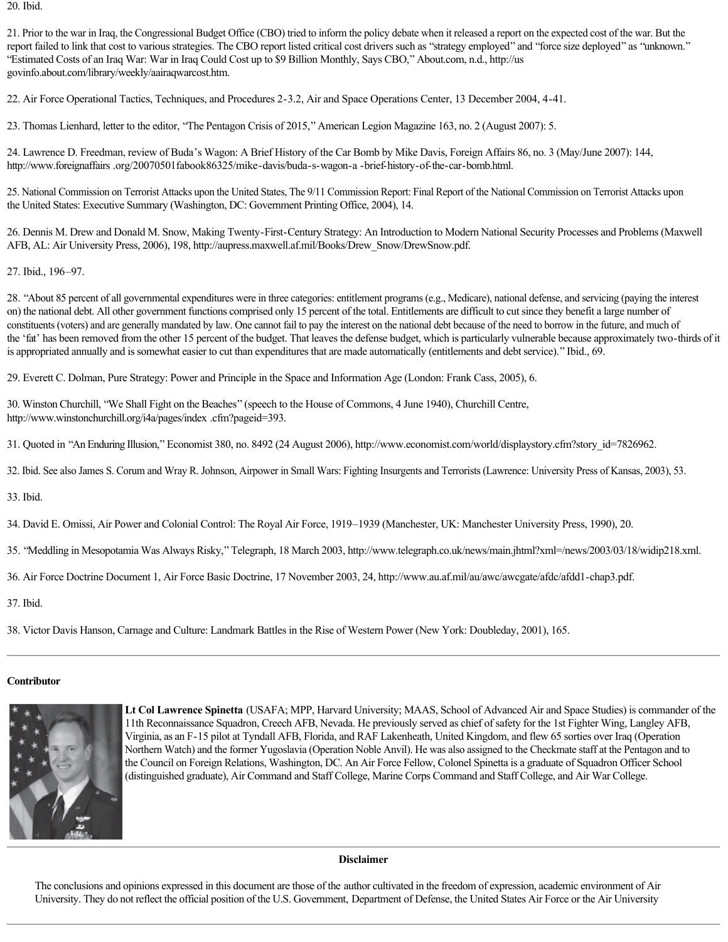20. Ibid.

21. Prior to the war in Iraq, the Congressional Budget Office (CBO) tried to inform the policy debate when it released a report on the expected cost of the war. But the report failed to link that cost to various strategies. The CBO report listed critical cost drivers such as "strategy employed" and "force size deployed" as "unknown." "Estimated Costs of an Iraq War: War in Iraq Could Cost up to \$9 Billion Monthly, Says CBO," About.com, n.d., http://us govinfo.about.com/library/weekly/aairaqwarcost.htm.

22. Air Force Operational Tactics, Techniques, and Procedures 2-3.2, Air and Space Operations Center, 13 December 2004, 4-41.

23. Thomas Lienhard, letter to the editor, "The Pentagon Crisis of 2015," American Legion Magazine 163, no. 2 (August 2007): 5.

24. Lawrence D. Freedman, review of Buda's Wagon: A Brief History of the Car Bomb by Mike Davis, Foreign Affairs 86, no. 3 (May/June 2007): 144, http://www.foreignaffairs .org/20070501fabook86325/mike-davis/buda-s-wagon-a-brief-history-of-the-car-bomb.html.

25. National Commission on Terrorist Attacks upon the United States, The 9/11 Commission Report: Final Report of the National Commission on Terrorist Attacks upon the United States: Executive Summary (Washington, DC: Government Printing Office, 2004), 14.

26. Dennis M. Drew and Donald M. Snow, Making Twenty-First-Century Strategy: An Introduction to Modern National Security Processes and Problems (Maxwell AFB, AL: Air University Press, 2006), 198, http://aupress.maxwell.af.mil/Books/Drew\_Snow/DrewSnow.pdf.

27. Ibid., 196–97.

28. "About 85 percent of all governmental expenditures were in three categories: entitlement programs (e.g., Medicare), national defense, and servicing (paying the interest on) the national debt. All other government functions comprised only 15 percent of the total. Entitlements are difficult to cut since they benefit a large number of constituents (voters) and are generally mandated by law. One cannot fail to pay the interest on the national debt because of the need to borrow in the future, and much of the 'fat' has been removed from the other 15 percent of the budget. That leaves the defense budget, which is particularly vulnerable because approximately two-thirds of it is appropriated annually and is somewhat easier to cut than expenditures that are made automatically (entitlements and debt service)." Ibid., 69.

29. Everett C. Dolman, Pure Strategy: Power and Principle in the Space and Information Age (London: Frank Cass, 2005), 6.

30. Winston Churchill, "We Shall Fight on the Beaches" (speech to the House of Commons, 4 June 1940), Churchill Centre, http://www.winstonchurchill.org/i4a/pages/index .cfm?pageid=393.

31. Quoted in "An Enduring Illusion," Economist 380, no. 8492 (24 August 2006), http://www.economist.com/world/displaystory.cfm?story\_id=7826962.

32. Ibid. See also James S. Corum and Wray R. Johnson, Airpower in Small Wars: Fighting Insurgents and Terrorists (Lawrence: University Press of Kansas, 2003), 53.

33. Ibid.

34. David E. Omissi, Air Power and Colonial Control: The Royal Air Force, 1919–1939 (Manchester, UK: Manchester University Press, 1990), 20.

35. "Meddling in Mesopotamia Was Always Risky," Telegraph, 18 March 2003, http://www.telegraph.co.uk/news/main.jhtml?xml=/news/2003/03/18/widip218.xml.

36. Air Force Doctrine Document 1, Air Force Basic Doctrine, 17 November 2003, 24, http://www.au.af.mil/au/awc/awcgate/afdc/afdd1chap3.pdf.

37. Ibid.

38. Victor Davis Hanson, Carnage and Culture: Landmark Battles in the Rise of Western Power (New York: Doubleday, 2001), 165.

#### **Contributor**



**Lt Col Lawrence Spinetta** (USAFA; MPP, Harvard University; MAAS, School of Advanced Air and Space Studies) is commander of the 11th Reconnaissance Squadron, Creech AFB, Nevada. He previously served as chief of safety for the 1st Fighter Wing, Langley AFB, Virginia, as an F15 pilot at Tyndall AFB, Florida, and RAF Lakenheath, United Kingdom, and flew 65 sorties over Iraq (Operation Northern Watch) and the former Yugoslavia (Operation Noble Anvil). He was also assigned to the Checkmate staff at the Pentagon and to the Council on Foreign Relations, Washington, DC. An Air Force Fellow, Colonel Spinetta is a graduate of Squadron Officer School (distinguished graduate), Air Command and Staff College, Marine Corps Command and Staff College, and Air War College.

## **Disclaimer**

The conclusions and opinions expressed in this document are those of the author cultivated in the freedom of expression, academic environment of Air University. They do not reflect the official position of the U.S. Government, Department of Defense, the United States Air Force or the Air University